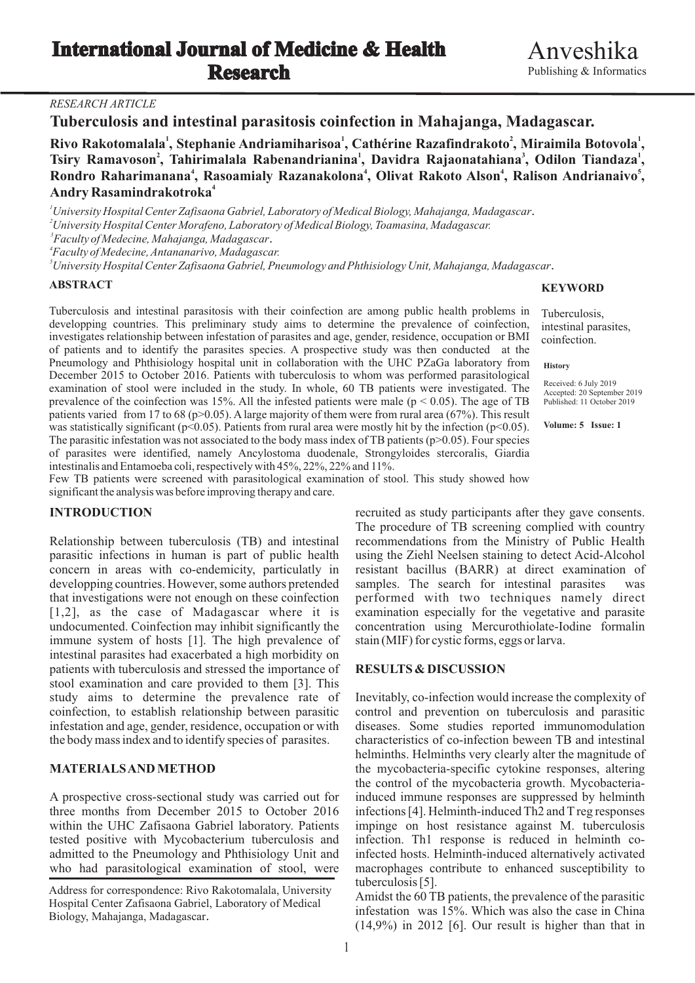# *RESEARCH ARTICLE*

**Tuberculosis and intestinal parasitosis coinfection in Mahajanga, Madagascar.**

 **<sup>1</sup> <sup>2</sup> <sup>1</sup> Rivo Rakotomalala , Stephanie Andriamiharisoa , Cathérine Razafindrakoto , Miraimila Botovola , <sup>1</sup> <sup>3</sup> <sup>1</sup> Tsiry Ramavoson , Tahirimalala Rabenandrianina , Davidra Rajaonatahiana , Odilon Tiandaza , <sup>4</sup> <sup>4</sup> <sup>5</sup> Rondro Raharimanana , Rasoamialy Razanakolona , Olivat Rakoto Alson , Ralison Andrianaivo , Andry Rasamindrakotroka**

*University Hospital Center Zafisaona Gabriel, Laboratory of Medical Biology, Mahajanga, Madagascar*. *University Hospital Center Morafeno, Laboratory of Medical Biology, Toamasina, Madagascar. Faculty of Medecine, Mahajanga, Madagascar*. *Faculty of Medecine, Antananarivo, Madagascar. 4*

*University Hospital Center Zafisaona Gabriel, Pneumology and Phthisiology Unit, Mahajanga, Madagascar*. *5*

## **ABSTRACT**

Tuberculosis and intestinal parasitosis with their coinfection are among public health problems in developping countries. This preliminary study aims to determine the prevalence of coinfection, investigates relationship between infestation of parasites and age, gender, residence, occupation or BMI of patients and to identify the parasites species. A prospective study was then conducted at the Pneumology and Phthisiology hospital unit in collaboration with the UHC PZaGa laboratory from December 2015 to October 2016. Patients with tuberculosis to whom was performed parasitological examination of stool were included in the study. In whole, 60 TB patients were investigated. The prevalence of the coinfection was 15%. All the infested patients were male ( $p < 0.05$ ). The age of TB patients varied from 17 to 68 (p>0.05). A large majority of them were from rural area (67%). This result was statistically significant ( $p<0.05$ ). Patients from rural area were mostly hit by the infection ( $p<0.05$ ). The parasitic infestation was not associated to the body mass index of TB patients (p>0.05). Four species of parasites were identified, namely Ancylostoma duodenale, Strongyloides stercoralis, Giardia intestinalis and Entamoeba coli, respectively with 45%, 22%, 22% and 11%.

Few TB patients were screened with parasitological examination of stool. This study showed how significant the analysis was before improving therapy and care.

Relationship between tuberculosis (TB) and intestinal recommendations from the Ministry of Public Health parasitic infections in human is part of public health using the Ziehl Neelsen staining to detect Acid-Alcohol concern in areas with co-endemicity, particulatly in resistant bacillus (BARR) at direct examination of developping countries. However, some authors pretended samples. The search for intestinal parasites was that investigations were not enough on these coinfection performed with two techniques namely direct that investigations were not enough on these coinfection [1,2], as the case of Madagascar where it is examination especially for the vegetative and parasite undocumented. Coinfection may inhibit significantly the concentration using Mercurothiolate-Iodine formalin immune system of hosts [1]. The high prevalence of stain (MIF) for cystic forms, eggs or larva. intestinal parasites had exacerbated a high morbidity on patients with tuberculosis and stressed the importance of stool examination and care provided to them [3]. This study aims to determine the prevalence rate of Inevitably, co-infection would increase the complexity of coinfection, to establish relationship between parasitic control and prevention on tuberculosis and parasitic infestation and age, gender, residence, occupation or with the body mass index and to identify species of parasites. characteristics of co-infection beween TB and intestinal

A prospective cross-sectional study was carried out for induced immune responses are suppressed by helminth three months from December 2015 to October 2016 infections [4]. Helminth-induced Th2 and Treg responses within the UHC Zafisaona Gabriel laboratory. Patients impinge on host resistance against M. tuberculosis tested positive with Mycobacterium tuberculosis and infection. Th1 response is reduced in helminth cotested positive with Mycobacterium tuberculosis and admitted to the Pneumology and Phthisiology Unit and infected hosts. Helminth-induced alternatively activated who had parasitological examination of stool, were macrophages contribute to enhanced susceptibility to

Address for correspondence: Rivo Rakotomalala , University Hospital Center Zafisaona Gabriel, Laboratory of Medical Biology, Mahajanga, Madagascar.

**INTRODUCTION** recruited as study participants after they gave consents. The procedure of TB screening complied with country using the Ziehl Neelsen staining to detect Acid-Alcohol

## **RESULTS & DISCUSSION**

control and prevention on tuberculosis and parasitic diseases. Some studies reported immunomodulation helminths. Helminths very clearly alter the magnitude of **MATERIALS AND METHOD** the mycobacteria-specific cytokine responses, altering the control of the mycobacteria growth. Mycobacteriatuberculosis [5].

> Amidst the 60 TB patients, the prevalence of the parasitic infestation was 15%. Which was also the case in China (14,9%) in 2012 [6]. Our result is higher than that in

## **KEYWORD**

Tuberculosis, intestinal parasites, coinfection.

**History**

Received: 6 July 2019 Accepted: 20 September 2019 Published: 11 October 2019

**Volume: 5 Issue: 1**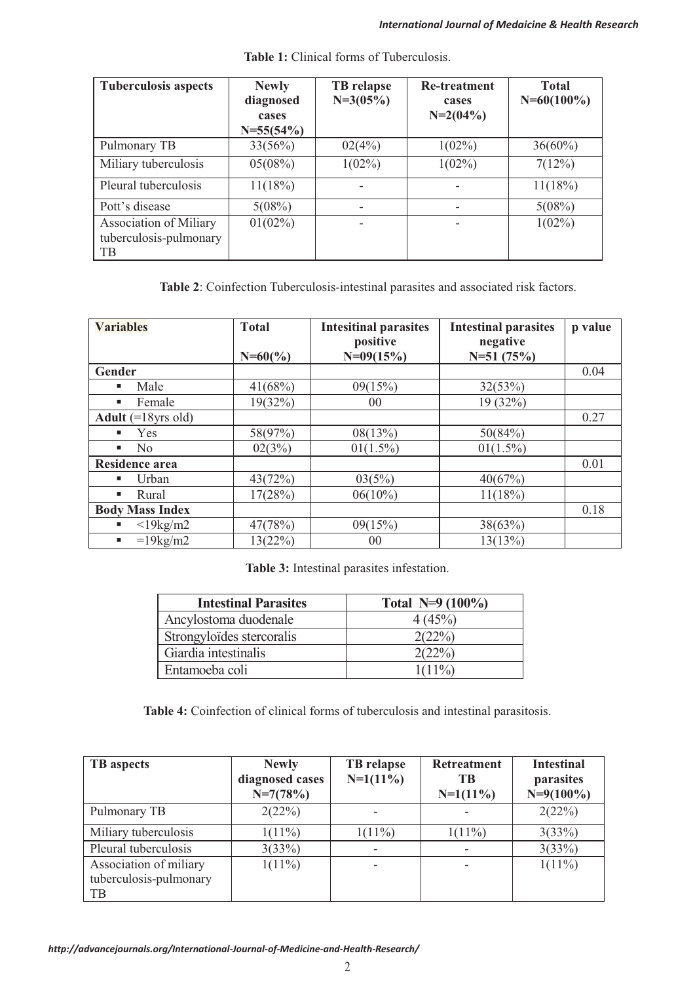| <b>Tuberculosis aspects</b>                            | <b>Newly</b><br>diagnosed<br>cases | TB relapse<br>$N=3(05%)$ | <b>Re-treatment</b><br>cases<br>$N=2(04\%)$ | <b>Total</b><br>$N=60(100\%)$ |
|--------------------------------------------------------|------------------------------------|--------------------------|---------------------------------------------|-------------------------------|
|                                                        | $N = 55(54%)$                      |                          |                                             |                               |
| Pulmonary TB                                           | 33(56%)                            | 02(4%)                   | $1(02\%)$                                   | $36(60\%)$                    |
| Miliary tuberculosis                                   | 05(08%)                            | $1(02\%)$                | $1(02\%)$                                   | 7(12%)                        |
| Pleural tuberculosis                                   | $11(18\%)$                         |                          |                                             | 11(18%)                       |
| Pott's disease                                         | 5(08%)                             |                          |                                             | $5(08\%)$                     |
| Association of Miliary<br>tuberculosis-pulmonary<br>TB | $01(02\%)$                         |                          |                                             | $1(02\%)$                     |

**Table 1:** Clinical forms of Tuberculosis.

**Table 2**: Coinfection Tuberculosis-intestinal parasites and associated risk factors.

| <b>Variables</b>       | <b>Total</b><br>$N=60(%)$ | <b>Intesitinal parasites</b><br>positive<br>$N=09(15%)$ | <b>Intestinal parasites</b><br>negative<br>$N=51(75%)$ | p value |
|------------------------|---------------------------|---------------------------------------------------------|--------------------------------------------------------|---------|
| Gender                 |                           |                                                         |                                                        | 0.04    |
| Male<br>٠              | 41(68%)                   | 09(15%)                                                 | 32(53%)                                                |         |
| Female<br>п            | 19(32%)                   | 0 <sup>0</sup>                                          | 19 (32%)                                               |         |
| Adult $(=18$ yrs old)  |                           |                                                         |                                                        | 0.27    |
| Yes<br>٠               | 58(97%)                   | 08(13%)                                                 | 50(84%)                                                |         |
| N <sub>0</sub><br>٠    | 02(3%)                    | $01(1.5\%)$                                             | $01(1.5\%)$                                            |         |
| <b>Residence area</b>  |                           |                                                         |                                                        | 0.01    |
| Urban<br>٠             | 43(72%)                   | 03(5%)                                                  | 40(67%)                                                |         |
| Rural<br>п             | 17(28%)                   | $06(10\%)$                                              | 11(18%)                                                |         |
| <b>Body Mass Index</b> |                           |                                                         |                                                        | 0.18    |
| $\langle 19kg/m2$      | 47(78%)                   | 09(15%)                                                 | 38(63%)                                                |         |
| $=19kg/m2$<br>٠        | 13(22%)                   | 00 <sup>1</sup>                                         | 13(13%)                                                |         |

**Table 3:** Intestinal parasites infestation.

| <b>Intestinal Parasites</b> | Total $N=9$ (100%) |  |  |
|-----------------------------|--------------------|--|--|
| Ancylostoma duodenale       | 4 (45%)            |  |  |
| Strongyloïdes stercoralis   | 2(22%)             |  |  |
| Giardia intestinalis        | 2(22%)             |  |  |
| Entamoeba coli              | $1(11\%)$          |  |  |

**Table 4:** Coinfection of clinical forms of tuberculosis and intestinal parasitosis.

| <b>TB</b> aspects                                      | <b>Newly</b><br>diagnosed cases<br>$N=7(78%)$ | TB relapse<br>$N=1(11\%)$ | Retreatment<br>TB<br>$N=1(11\%)$ | <b>Intestinal</b><br>parasites<br>$N=9(100\%)$ |
|--------------------------------------------------------|-----------------------------------------------|---------------------------|----------------------------------|------------------------------------------------|
| Pulmonary TB                                           | 2(22%)                                        |                           |                                  | 2(22%)                                         |
| Miliary tuberculosis                                   | $1(11\%)$                                     | $1(11\%)$                 | $1(11\%)$                        | 3(33%)                                         |
| Pleural tuberculosis                                   | 3(33%)                                        |                           |                                  | 3(33%)                                         |
| Association of miliary<br>tuberculosis-pulmonary<br>TB | $1(11\%)$                                     |                           |                                  | $1(11\%)$                                      |

*http://advancejournals.org/International-Journal-of-Medicine-and-Health-Research/*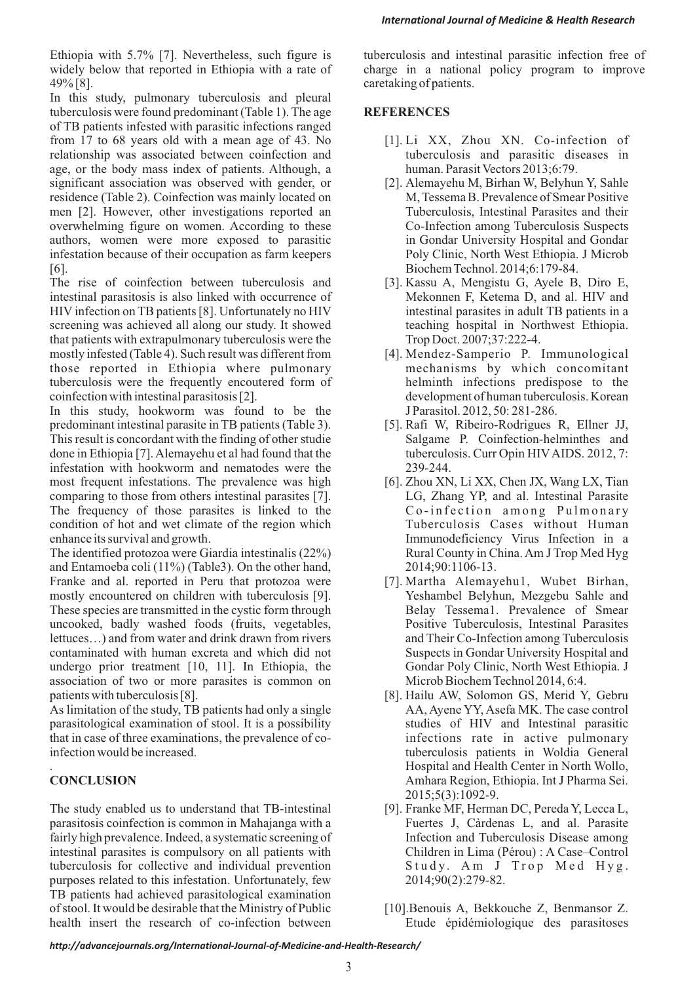Ethiopia with 5.7% [7]. Nevertheless, such figure is tuberculosis and intestinal parasitic infection free of widely below that reported in Ethiopia with a rate of charge in a national policy program to improve 49% [8]. caretaking of patients.

In this study, pulmonary tuberculosis and pleural tuberculosis were found predominant (Table 1). The age **REFERENCES** of TB patients infested with parasitic infections ranged from 17 to 68 years old with a mean age of 43. No [1]. Li XX, Zhou XN. Co-infection of relationship was associated between coinfection and tuberculosis and parasitic diseases in age, or the body mass index of patients. Although, a human. Parasit Vectors 2013;6:79. significant association was observed with gender, or [2]. Alemayehu M, Birhan W, Belyhun Y, Sahle residence (Table 2). Coinfection was mainly located on M, Tessema B. Prevalence of Smear Positive men [2]. However, other investigations reported an Tuberculosis, Intestinal Parasites and their overwhelming figure on women. According to these Co-Infection among Tuberculosis Suspects authors, women were more exposed to parasitic in Gondar University Hospital and Gondar infestation because of their occupation as farm keepers Poly Clinic, North West Ethiopia. J Microb [6]. Biochem Technol. 2014;6:179-84.

The rise of coinfection between tuberculosis and [3]. Kassu A, Mengistu G, Ayele B, Diro E, intestinal parasitosis is also linked with occurrence of Mekonnen F, Ketema D, and al. HIV and HIV infection on TB patients [8]. Unfortunately no HIV intestinal parasites in adult TB patients in a screening was achieved all along our study. It showed teaching hospital in Northwest Ethiopia. that patients with extrapulmonary tuberculosis were the Trop Doct. 2007;37:222-4. mostly infested (Table 4). Such result was different from [4]. Mendez-Samperio P. Immunological those reported in Ethiopia where pulmonary mechanisms by which concomitant tuberculosis were the frequently encoutered form of helminth infections predispose to the coinfection with intestinal parasitosis [2]. development of human tuberculosis. Korean

In this study, hookworm was found to be the J Parasitol. 2012, 50: 281-286. predominant intestinal parasite in TB patients (Table 3). [5]. Rafi W, Ribeiro-Rodrigues R, Ellner JJ, This result is concordant with the finding of other studie Salgame P. Coinfection-helminthes and done in Ethiopia [7]. Alemayehu et al had found that the tuberculosis. Curr Opin HIVAIDS. 2012, 7: infestation with hookworm and nematodes were the 239-244. most frequent infestations. The prevalence was high [6]. Zhou XN, Li XX, Chen JX, Wang LX, Tian comparing to those from others intestinal parasites [7]. LG, Zhang YP, and al. Intestinal Parasite The frequency of those parasites is linked to the Co-infection among Pulmonary condition of hot and wet climate of the region which Tuberculosis Cases without Human enhance its survival and growth. Immunodeficiency Virus Infection in a

The identified protozoa were Giardia intestinalis (22%) Rural County in China. Am J Trop Med Hyg and Entamoeba coli (11%) (Table3). On the other hand, 2014;90:1106-13. Franke and al. reported in Peru that protozoa were [7]. Martha Alemayehu1, Wubet Birhan, mostly encountered on children with tuberculosis [9]. Yeshambel Belyhun, Mezgebu Sahle and These species are transmitted in the cystic form through Belay Tessema1. Prevalence of Smear uncooked, badly washed foods (fruits, vegetables, Positive Tuberculosis, Intestinal Parasites lettuces…) and from water and drink drawn from rivers and Their Co-Infection among Tuberculosis contaminated with human excreta and which did not Suspects in Gondar University Hospital and undergo prior treatment [10, 11]. In Ethiopia, the Gondar Poly Clinic, North West Ethiopia. J association of two or more parasites is common on Microb Biochem Technol 2014, 6:4. patients with tuberculosis [8]. [8] [8]. Hailu AW, Solomon GS, Merid Y, Gebru

As limitation of the study, TB patients had only a single AA, Ayene YY, Asefa MK. The case control parasitological examination of stool. It is a possibility studies of HIV and Intestinal parasitic that in case of three examinations, the prevalence of co- infections rate in active pulmonary infection would be increased. tuberculosis patients in Woldia General

The study enabled us to understand that TB-intestinal [9]. Franke MF, Herman DC, Pereda Y, Lecca L, parasitosis coinfection is common in Mahajanga with a Fuertes J, Càrdenas L, and al. Parasite fairly high prevalence. Indeed, a systematic screening of Infection and Tuberculosis Disease among intestinal parasites is compulsory on all patients with Children in Lima (Pérou) : A Case–Control tuberculosis for collective and individual prevention Study. Am J Trop Med Hyg. purposes related to this infestation. Unfortunately, few 2014;90(2):279-82. TB patients had achieved parasitological examination of stool. It would be desirable that the Ministry of Public [10].Benouis A, Bekkouche Z, Benmansor Z. health insert the research of co-infection between Etude épidémiologique des parasitoses

- 
- 
- 
- 
- 
- 
- 
- . Hospital and Health Center in North Wollo, **CONCLUSION** Amhara Region, Ethiopia. Int J Pharma Sei. 2015;5(3):1092-9.
	-
	-

*http://advancejournals.org/International-Journal-of-Medicine-and-Health-Research/*